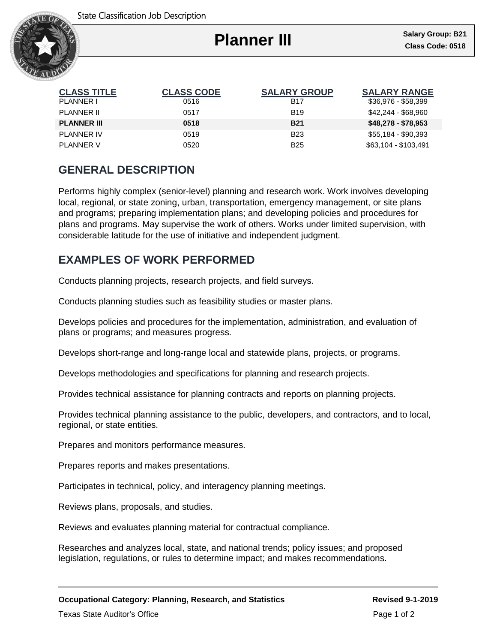

# **Planner III**

Ι

| <b>CLASS TITLE</b> | <b>CLASS CODE</b> | <b>SALARY GROUP</b> | <b>SALARY RANGE</b>  |
|--------------------|-------------------|---------------------|----------------------|
| PLANNER I          | 0516              | <b>B17</b>          | \$36,976 - \$58,399  |
| PLANNER II         | 0517              | <b>B19</b>          | \$42.244 - \$68.960  |
| <b>PLANNER III</b> | 0518              | <b>B21</b>          | $$48,278 - $78,953$  |
| PLANNER IV         | 0519              | <b>B23</b>          | \$55,184 - \$90,393  |
| PLANNER V          | 0520              | <b>B25</b>          | \$63,104 - \$103,491 |

## **GENERAL DESCRIPTION**

Performs highly complex (senior-level) planning and research work. Work involves developing local, regional, or state zoning, urban, transportation, emergency management, or site plans and programs; preparing implementation plans; and developing policies and procedures for plans and programs. May supervise the work of others. Works under limited supervision, with considerable latitude for the use of initiative and independent judgment.

### **EXAMPLES OF WORK PERFORMED**

Conducts planning projects, research projects, and field surveys.

Conducts planning studies such as feasibility studies or master plans.

Develops policies and procedures for the implementation, administration, and evaluation of plans or programs; and measures progress.

Develops short-range and long-range local and statewide plans, projects, or programs.

Develops methodologies and specifications for planning and research projects.

Provides technical assistance for planning contracts and reports on planning projects.

Provides technical planning assistance to the public, developers, and contractors, and to local, regional, or state entities.

Prepares and monitors performance measures.

Prepares reports and makes presentations.

Participates in technical, policy, and interagency planning meetings.

Reviews plans, proposals, and studies.

Reviews and evaluates planning material for contractual compliance.

Researches and analyzes local, state, and national trends; policy issues; and proposed legislation, regulations, or rules to determine impact; and makes recommendations.